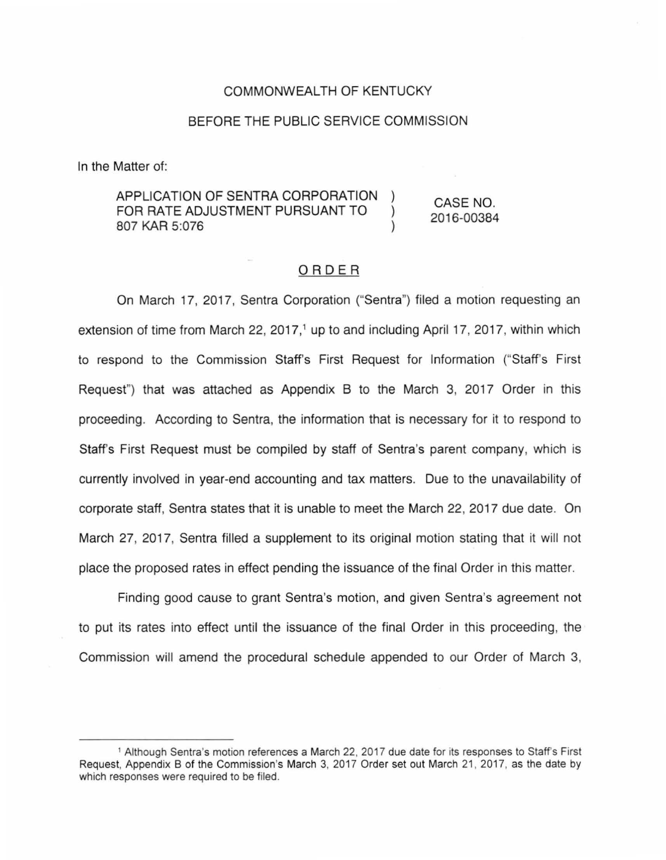#### COMMONWEALTH OF KENTUCKY

### BEFORE THE PUBLIC SERVICE COMMISSION

In the Matter of:

APPLICATION OF SENTRA CORPORATION FOR RATE ADJUSTMENT PURSUANT TO 807 KAR 5:076

CASE NO. 2016-00384

 $\mathcal{E}$ 

#### ORDER

On March 17, 2017, Sentra Corporation ("Sentra") filed a motion requesting an extension of time from March 22, 2017,<sup>1</sup> up to and including April 17, 2017, within which to respond to the Commission Staff's First Request for Information ("Staff's First Request") that was attached as Appendix B to the March 3, 2017 Order in this proceeding. According to Sentra, the information that is necessary for it to respond to Staff's First Request must be compiled by staff of Sentra's parent company, which is currently involved in year-end accounting and tax matters. Due to the unavailability of corporate staff, Sentra states that it is unable to meet the March 22, 2017 due date. On March 27, 2017, Sentra filled a supplement to its original motion stating that it will not place the proposed rates in effect pending the issuance of the final Order in this matter.

Finding good cause to grant Sentra's motion, and given Sentra's agreement not to put its rates into effect until the issuance of the final Order in this proceeding, the Commission will amend the procedural schedule appended to our Order of March 3,

<sup>1</sup>Although Sentra's motion references a March 22, 2017 due date for its responses to Staffs First Request, Appendix B of the Commission's March 3, 2017 Order set out March 21, 2017, as the date by which responses were required to be filed.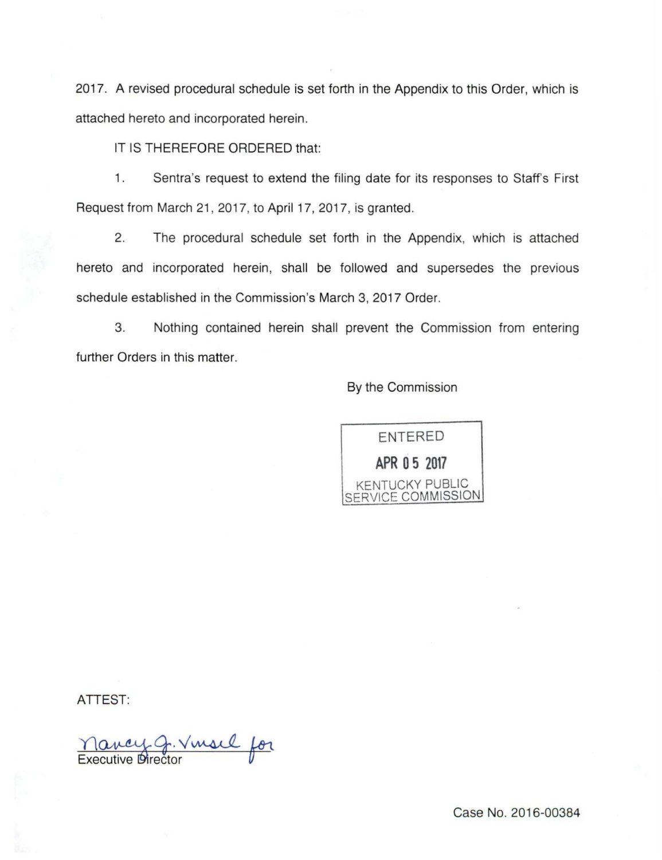2017. A revised procedural schedule is set forth in the Appendix to this Order, which is attached hereto and incorporated herein.

IT IS THEREFORE ORDERED that:

1. Sentra's request to extend the filing date for its responses to Staffs First Request from March 21 , 2017, to April 17, 2017, is granted.

2. The procedural schedule set forth in the Appendix, which is attached hereto and incorporated herein, shall be followed and supersedes the previous schedule established in the Commission's March 3, 2017 Order.

3. Nothing contained herein shall prevent the Commission from entering further Orders in this matter.

By the Commission

ENTERED **APR 0 5 2017**  KENTUCKY PUBLIC SERVICE COMMISSION

ATTEST:

Mancy G. Vinsil for

Case No. 2016-00384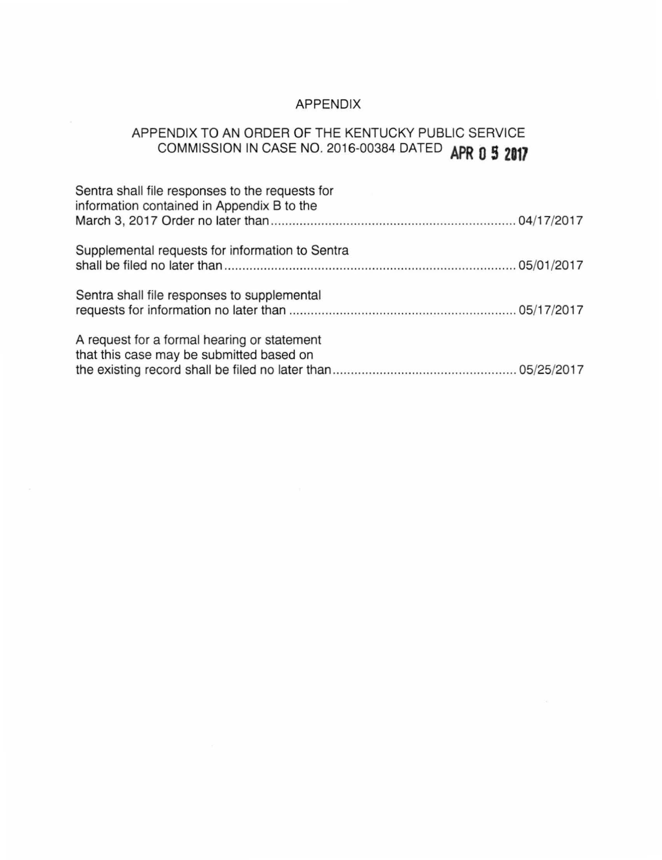## APPENDIX

# APPENDIX TO AN ORDER OF THE KENTUCKY PUBLIC SERVICE COMMISSION IN CASE NO. 2016-00384 DATED **APR 0 5 <sup>2117</sup>**

| Sentra shall file responses to the requests for<br>information contained in Appendix B to the |  |
|-----------------------------------------------------------------------------------------------|--|
| Supplemental requests for information to Sentra                                               |  |
| Sentra shall file responses to supplemental                                                   |  |
| A request for a formal hearing or statement<br>that this case may be submitted based on       |  |